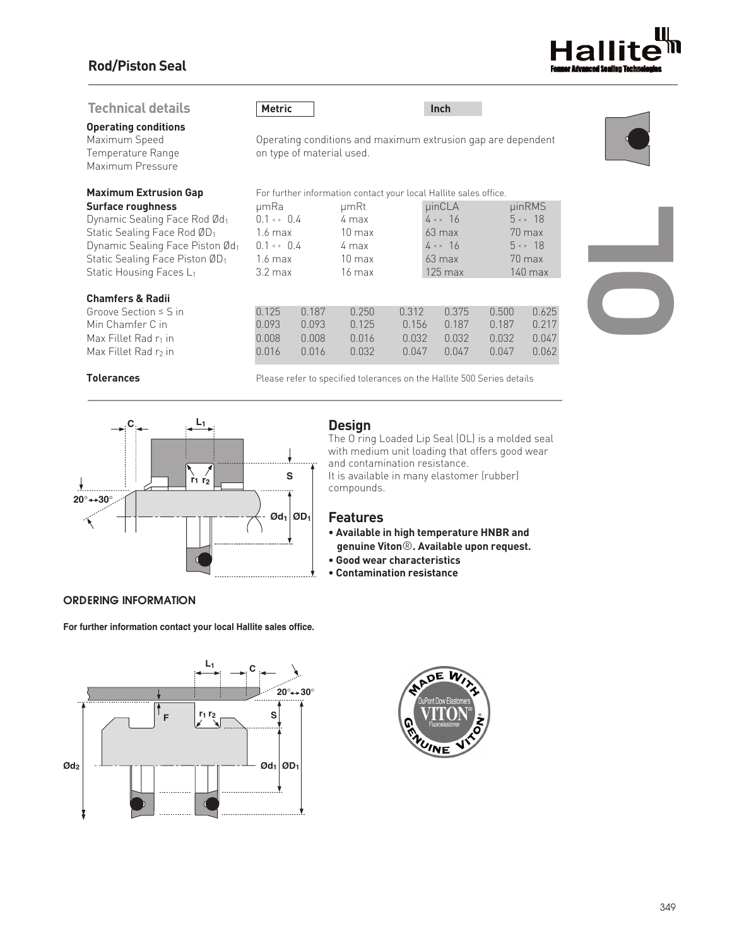# **Rod/Piston Seal**

## **Technical details**

**Operating conditions**

Maximum Pressure

### **Chamfers & Radii**

| Groove Section $\leq$ S in       |
|----------------------------------|
| Min Chamfer C in                 |
| Max Fillet Rad r <sub>1</sub> in |
| Max Fillet Rad r <sub>2</sub> in |

**Metric Inch**





**Maximum Extrusion Gap** For further information contact your local Hallite sales office.

| Surface roughness                                  | µmRa                      |       | µmRt             |         | $\mu$ inCLA            |                        | <b>uinRMS</b>          |  |
|----------------------------------------------------|---------------------------|-------|------------------|---------|------------------------|------------------------|------------------------|--|
| Dynamic Sealing Face Rod Ød1                       | $0.1 \leftrightarrow 0.4$ |       | 4 max            |         |                        | $4 \leftrightarrow 16$ | $5 \leftrightarrow 18$ |  |
| Static Sealing Face Rod ØD <sub>1</sub>            | 1.6 max                   |       | $10 \text{ max}$ |         | $63$ max               |                        | 70 max                 |  |
| Dynamic Sealing Face Piston Ød1                    | $0.1 \leftrightarrow 0.4$ |       | 4 max            |         | $4 \leftrightarrow 16$ |                        | $5 \leftrightarrow 18$ |  |
| Static Sealing Face Piston $\emptyset\mathsf{D}_1$ | 1.6 max                   |       | $10 \text{ max}$ |         | $63$ max               |                        | $70$ max               |  |
| Static Housing Faces L1                            | $3.2 \text{ max}$         |       | $16 \text{ max}$ |         | $125 \text{ max}$      |                        | $140$ max              |  |
| <b>Chamfers &amp; Radii</b>                        |                           |       |                  |         |                        |                        |                        |  |
| Groove Section $\leq$ S in                         | 0.125                     | 0.187 | 0.250            | 0.312   | 0.375                  | 0.500                  | 0.625                  |  |
| Min Chamfer C in                                   | 0.093                     | 0.093 | 0.125            | 0.156   | 0.187                  | 0.187                  | 0.217                  |  |
| Max Fillet Rad r1 in                               | 0.008                     | 0.008 | 0.016            | 0.032   | 0.032                  | 0.032                  | 0.047                  |  |
| Max Fillet Rad $r_2$ in                            | 0.016                     | 0.016 | 0.032            | 0 0 4 7 | 0.047                  | 0.047                  | 0.062                  |  |



**Tolerances Please refer to specified tolerances on the Hallite 500 Series details** 



## *ORDERING INFORMATION*

**For further information contact your local Hallite sales office.**





# **Design**

The O ring Loaded Lip Seal (OL) is a molded seal with medium unit loading that offers good wear and contamination resistance. It is available in many elastomer (rubber) compounds.

### **Features**

- **• Available in high temperature HNBR and genuine Viton**®**. Available upon request.**
- **• Good wear characteristics**
- **• Contamination resistance**